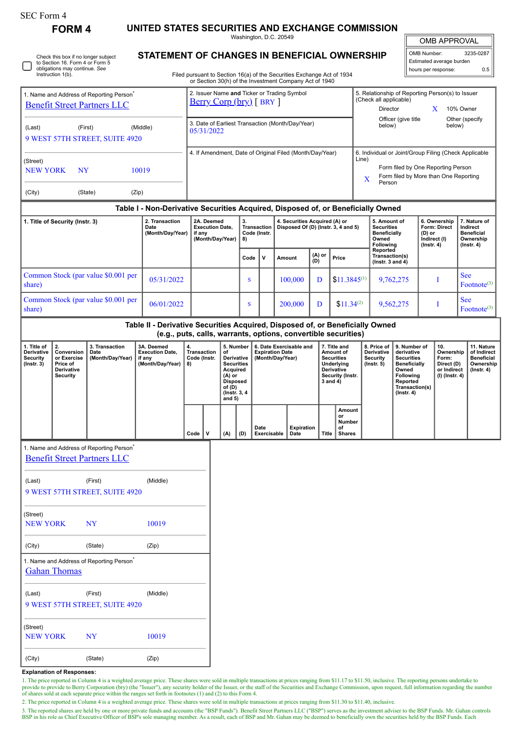**FORM 4 UNITED STATES SECURITIES AND EXCHANGE COMMISSION** Washington, D.C. 20549

OMB APPROVAL

 $Footnote^{(3)}$ 

| O | Check this box if no longer subject<br>to Section 16. Form 4 or Form 5<br>obligations may continue. See<br>Instruction 1(b). |
|---|------------------------------------------------------------------------------------------------------------------------------|
|---|------------------------------------------------------------------------------------------------------------------------------|

1. Name and Address of Reporting Person\* [Benefit Street Partners LLC](http://www.sec.gov/cgi-bin/browse-edgar?action=getcompany&CIK=0001543160)

## **STATEMENT OF CHANGES IN BENEFICIAL OV**

Filed pursuant to Section 16(a) of the Securities Exchange Act of 1934 or Section 30(h) of the Investment Company Act of 1940

2. Issuer Name **and** Ticker or Trading Symbol [Berry Corp \(bry\)](http://www.sec.gov/cgi-bin/browse-edgar?action=getcompany&CIK=0001705873) [ BRY ]

|          | 3235-0287<br>OMB Number:<br>Estimated average burden |                        |                                                                                      |  |  |  |
|----------|------------------------------------------------------|------------------------|--------------------------------------------------------------------------------------|--|--|--|
|          |                                                      |                        | 0.5                                                                                  |  |  |  |
| Director |                                                      |                        |                                                                                      |  |  |  |
|          |                                                      | (Check all applicable) | hours per response:<br>5. Relationship of Reporting Person(s) to Issuer<br>10% Owner |  |  |  |

| (Last)                                                                          | (First) |  | (Middle)                                                 | 3. Date of Earliest Transaction (Month/Day/Year)<br>05/31/2022                   |                                                |   |                                                                      |               |                                                                                                                                                              | Officer (give title<br>Other (specify<br>below)<br>below)                      |                                                                                     |                                                                                |  |  |
|---------------------------------------------------------------------------------|---------|--|----------------------------------------------------------|----------------------------------------------------------------------------------|------------------------------------------------|---|----------------------------------------------------------------------|---------------|--------------------------------------------------------------------------------------------------------------------------------------------------------------|--------------------------------------------------------------------------------|-------------------------------------------------------------------------------------|--------------------------------------------------------------------------------|--|--|
| 9 WEST 57TH STREET, SUITE 4920                                                  |         |  |                                                          |                                                                                  |                                                |   |                                                                      |               |                                                                                                                                                              |                                                                                |                                                                                     |                                                                                |  |  |
| (Street)<br><b>NEW YORK</b><br><b>NY</b><br>10019<br>(City)<br>(State)<br>(Zip) |         |  | 4. If Amendment, Date of Original Filed (Month/Day/Year) |                                                                                  |                                                |   |                                                                      |               | 6. Individual or Joint/Group Filing (Check Applicable<br>Line)<br>Form filed by One Reporting Person<br>Form filed by More than One Reporting<br>X<br>Person |                                                                                |                                                                                     |                                                                                |  |  |
|                                                                                 |         |  |                                                          | Table I - Non-Derivative Securities Acquired, Disposed of, or Beneficially Owned |                                                |   |                                                                      |               |                                                                                                                                                              |                                                                                |                                                                                     |                                                                                |  |  |
| 1. Title of Security (Instr. 3)                                                 |         |  | 2. Transaction<br>Date<br>(Month/Day/Year)               | 2A. Deemed<br><b>Execution Date,</b><br>if any<br>(Month/Day/Year)               | 3.<br><b>Transaction</b><br>Code (Instr.<br>8) |   | 4. Securities Acquired (A) or<br>Disposed Of (D) (Instr. 3, 4 and 5) |               |                                                                                                                                                              | 5. Amount of<br><b>Securities</b><br><b>Beneficially</b><br>Owned<br>Following | 6. Ownership<br><b>Form: Direct</b><br>$(D)$ or<br>Indirect (I)<br>$($ lnstr. 4 $)$ | 7. Nature of<br>Indirect<br><b>Beneficial</b><br>Ownership<br>$($ lnstr. 4 $)$ |  |  |
|                                                                                 |         |  |                                                          |                                                                                  | Code                                           | v | Amount                                                               | (A) or<br>(D) | Price                                                                                                                                                        | Reported<br>Transaction(s)<br>( $lnstr. 3 and 4$ )                             |                                                                                     |                                                                                |  |  |
| Common Stock (par value \$0.001 per<br>share)                                   |         |  | 05/31/2022                                               |                                                                                  | S                                              |   | 100,000                                                              | D             | $$11.3845^{(1)}$                                                                                                                                             | 9,762,275                                                                      |                                                                                     | <b>See</b><br>Footnote <sup>(3)</sup>                                          |  |  |
| Common Stock (par value \$0.001 per<br>share)                                   |         |  | 06/01/2022                                               |                                                                                  | S                                              |   | 200,000                                                              | D             | $$11.34^{(2)}$                                                                                                                                               | 9,562,275                                                                      |                                                                                     | <b>See</b><br>Footnote <sup>(3)</sup>                                          |  |  |

|                                                                         | Table II - Derivative Securities Acquired, Disposed of, or Beneficially Owned<br>(e.g., puts, calls, warrants, options, convertible securities) |                                            |                                                                    |                                                                               |  |                                                                                                                                                                                                                                                                                     |     |                     |                           |       |                                                                  |                                                                                                                                                       |                                                                          |                                                                                 |  |
|-------------------------------------------------------------------------|-------------------------------------------------------------------------------------------------------------------------------------------------|--------------------------------------------|--------------------------------------------------------------------|-------------------------------------------------------------------------------|--|-------------------------------------------------------------------------------------------------------------------------------------------------------------------------------------------------------------------------------------------------------------------------------------|-----|---------------------|---------------------------|-------|------------------------------------------------------------------|-------------------------------------------------------------------------------------------------------------------------------------------------------|--------------------------------------------------------------------------|---------------------------------------------------------------------------------|--|
| 1. Title of<br><b>Derivative</b><br><b>Security</b><br>$($ Instr. 3 $)$ | 2.<br>Conversion<br>or Exercise<br>Price of<br><b>Derivative</b><br>Security                                                                    | 3. Transaction<br>Date<br>(Month/Day/Year) | 3A. Deemed<br><b>Execution Date.</b><br>if any<br>(Month/Day/Year) | 4.<br>Transaction<br>οf<br>Code (Instr.<br>8)<br>(A) or<br>of (D)<br>and $5)$ |  | 7. Title and<br>5. Number<br>6. Date Exercisable and<br><b>Expiration Date</b><br>Amount of<br><b>Derivative</b><br>(Month/Day/Year)<br>Securities<br><b>Securities</b><br>Underlying<br>Acquired<br><b>Derivative</b><br>Security (Instr.<br>3 and 4)<br>Disposed<br>(Instr. 3, 4) |     |                     |                           |       | 8. Price of<br><b>Derivative</b><br>Security<br>$($ lnstr. 5 $)$ | 9. Number of<br>derivative<br><b>Securities</b><br><b>Beneficially</b><br>Owned<br><b>Following</b><br>Reported<br>Transaction(s)<br>$($ lnstr. 4 $)$ | 10.<br>Ownership<br>Form:<br>Direct (D)<br>or Indirect<br>(I) (Instr. 4) | 11. Nature<br>of Indirect<br><b>Beneficial</b><br>Ownership<br>$($ lnstr. 4 $)$ |  |
|                                                                         |                                                                                                                                                 |                                            |                                                                    | Code                                                                          |  | (A)                                                                                                                                                                                                                                                                                 | (D) | Date<br>Exercisable | <b>Expiration</b><br>Date | Title | Amount<br>or<br>Number<br>οf<br><b>Shares</b>                    |                                                                                                                                                       |                                                                          |                                                                                 |  |

|                                                      |                                |                                                      |          | vuue |  |  |  |  |  |  |  |
|------------------------------------------------------|--------------------------------|------------------------------------------------------|----------|------|--|--|--|--|--|--|--|
| 1. Name and Address of Reporting Person <sup>®</sup> |                                |                                                      |          |      |  |  |  |  |  |  |  |
|                                                      |                                | <b>Benefit Street Partners LLC</b>                   |          |      |  |  |  |  |  |  |  |
| (Last)                                               |                                | (First)                                              | (Middle) |      |  |  |  |  |  |  |  |
| 9 WEST 57TH STREET, SUITE 4920                       |                                |                                                      |          |      |  |  |  |  |  |  |  |
| (Street)                                             |                                |                                                      |          |      |  |  |  |  |  |  |  |
|                                                      | NEW YORK NY                    |                                                      | 10019    |      |  |  |  |  |  |  |  |
| (City)                                               | (State)                        | (Zip)                                                |          |      |  |  |  |  |  |  |  |
|                                                      |                                | 1. Name and Address of Reporting Person <sup>®</sup> |          |      |  |  |  |  |  |  |  |
|                                                      | <b>Gahan Thomas</b>            |                                                      |          |      |  |  |  |  |  |  |  |
| (Last)                                               |                                | (First)                                              | (Middle) |      |  |  |  |  |  |  |  |
|                                                      | 9 WEST 57TH STREET, SUITE 4920 |                                                      |          |      |  |  |  |  |  |  |  |
| (Street)                                             |                                |                                                      |          |      |  |  |  |  |  |  |  |
|                                                      | NEW YORK                       | <b>NY</b>                                            | 10019    |      |  |  |  |  |  |  |  |
| (City)                                               |                                | (State)                                              | (Zip)    |      |  |  |  |  |  |  |  |

## **Explanation of Responses:**

1. The price reported in Column 4 is a weighted average price. These shares were sold in multiple transactions at prices ranging from \$11.17 to \$11.50, inclusive. The reporting persons undertake to provide to provide to Berry Corporation (bry) (the "Issuer"), any security holder of the Issuer, or the staff of the Securities and Exchange Commission, upon request, full information regarding the number of shares sold at

2. The price reported in Column 4 is a weighted average price. These shares were sold in multiple transactions at prices ranging from \$11.30 to \$11.40, inclusive.

3. The reported shares are held by one or more private funds and accounts (the "BSP Funds"). Benefit Street Partners LLC ("BSP") serves as the investment adviser to the BSP Funds. Mr. Gahan controls<br>BSP in his role as Chie